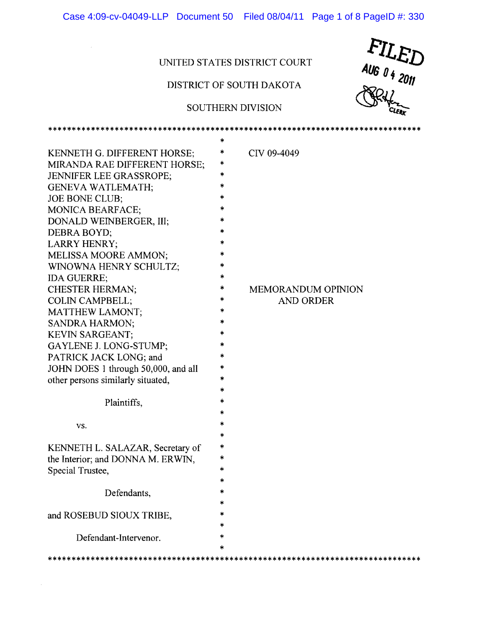Case 4:09-cv-04049-LLP Document 50 Filed 08/04/11 Page 1 of 8 PageID #: 330

## UNITED STATES DISTRlCT COURT

 $\sim$   $\mu$  .

 $\bar{z}$ 

# DISTRlCT OF SOUTH DAKOTA

## SOUTHERN DIVISION

\*\*\*\*\*\*\*\*\*\*\*\*\*\*\*\*\*\*\*\*\*\*\*\*\*\*\*\*\*\*\*\*\*\*\*\*\*\*\*\*\*\*\*\*\*\*\*\*\*\*\*\*\*\*\*\*\*\*\*\*\*\*\*\*\*\*\*\*\*\*\*\*\*\*\*\*\*\*



|                                     | *             |                           |
|-------------------------------------|---------------|---------------------------|
| KENNETH G. DIFFERENT HORSE;         | *             | CIV 09-4049               |
| MIRANDA RAE DIFFERENT HORSE;        | *             |                           |
| JENNIFER LEE GRASSROPE;             | *             |                           |
| GENEVA WATLEMATH;                   | *             |                           |
| <b>JOE BONE CLUB;</b>               | *             |                           |
| <b>MONICA BEARFACE;</b>             | *             |                           |
| DONALD WEINBERGER, III;             | *             |                           |
| DEBRA BOYD;                         | $\frac{1}{2}$ |                           |
| LARRY HENRY;                        | *             |                           |
| MELISSA MOORE AMMON;                | *             |                           |
| WINOWNA HENRY SCHULTZ;              | *             |                           |
| IDA GUERRE,                         | ∗             |                           |
| CHESTER HERMAN;                     | *             | <b>MEMORANDUM OPINION</b> |
| COLIN CAMPBELL;                     | *             | <b>AND ORDER</b>          |
| MATTHEW LAMONT;                     | *             |                           |
| <b>SANDRA HARMON;</b>               | $\ast$        |                           |
| KEVIN SARGEANT;                     | *             |                           |
| GAYLENE J. LONG-STUMP;              | *             |                           |
| PATRICK JACK LONG; and              | $\ast$        |                           |
| JOHN DOES 1 through 50,000, and all | *             |                           |
| other persons similarly situated,   | *             |                           |
|                                     | ∗             |                           |
| Plaintiffs,                         | $\ast$        |                           |
|                                     | *             |                           |
| VS.                                 | *             |                           |
|                                     | *             |                           |
| KENNETH L. SALAZAR, Secretary of    | *             |                           |
| the Interior; and DONNA M. ERWIN,   | *             |                           |
| Special Trustee,                    | *             |                           |
|                                     | $\ast$        |                           |
| Defendants,                         |               |                           |
|                                     |               |                           |
| and ROSEBUD SIOUX TRIBE,            |               |                           |
|                                     | *             |                           |
| Defendant-Intervenor.               | $\ast$        |                           |
|                                     |               |                           |
|                                     |               |                           |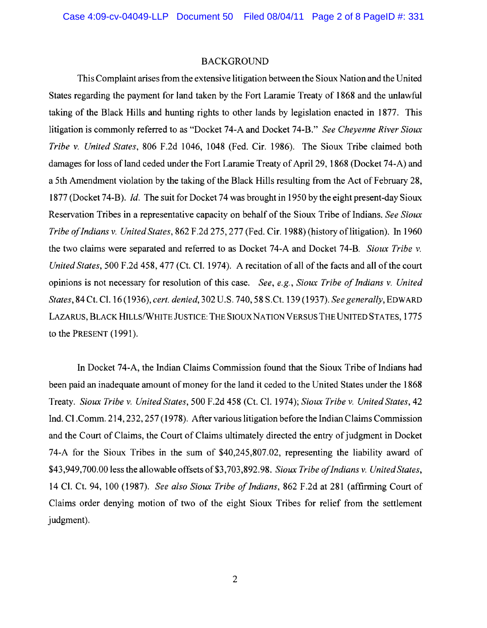### BACKGROUND

This Complaint arises from the extensive litigation between the Sioux Nation and the United States regarding the payment for land taken by the Fort Laramie Treaty of 1868 and the unlawful taking of the Black Hills and hunting rights to other lands by legislation enacted in 1877. This litigation is commonly referred to as "Docket 74-A and Docket 74-8." *See Cheyenne River Sioux Tribe* v. *United States,* 806 F.2d 1046, 1048 (Fed. Cir. 1986). The Sioux Tribe claimed both damages for loss of land ceded under the Fort Laramie Treaty of April 29, 1868 (Docket 74-A) and a 5th Amendment violation by the taking of the Black Hills resulting from the Act of February 28, 1877 (Docket 74-B). *Id.* The suit for Docket 74 was brought in 1950 by the eight present-day Sioux Reservation Tribes in a representative capacity on behalf of the Sioux Tribe of Indians. *See Sioux Tribe ofIndians* v. *United States,* 862 F.2d 275, 277 (Fed. Cir. 1988) (history oflitigation). In 1960 the two claims were separated and referred to as Docket 74-A and Docket 74-B. *Sioux Tribe* v. *United States,* 500 F.2d 458, 477 (Ct. Cl. 1974). A recitation of all of the facts and all of the court opinions is not necessary for resolution of this case. *See, e.g., Sioux Tribe of Indians v. United States,* 84 Ct. Cl. 16 (1936), *cert. denied,* 302 U.S. 740,58 S.Ct. 139 (1937). *See generally,* EDWARD LAZARUS, BLACK HILLS/WHITE JUSTICE: THE SIOUX NATION VERSUS THE UNITED STATES, 1775 to the PRESENT (1991).

In Docket 74-A, the Indian Claims Commission found that the Sioux Tribe of Indians had been paid an inadequate amount of money for the land it ceded to the United States under the 1868 Treaty. *Sioux Tribe* v. *United States,* 500 F.2d 458 (C1. C1. 1974); *Sioux Tribe* v. *United States, 42*  Ind. CI.Comm. 214,232,257 (1978). After various litigation before the Indian Claims Commission and the Court of Claims, the Court of Claims ultimately directed the entry of judgment in Docket 74-A for the Sioux Tribes in the sum of \$40,245,807.02, representing the liability award of \$43,949,700.00 less the allowable offsets of\$3,703,892.98. *Sioux Tribe ofIndians* v. *United States,*  14 Cl. Ct. 94, 100 (1987). *See also Sioux Tribe ofIndians,* 862 F .2d at 281 (affirming Court of Claims order denying motion of two of the eight Sioux Tribes for relief from the settlement judgment).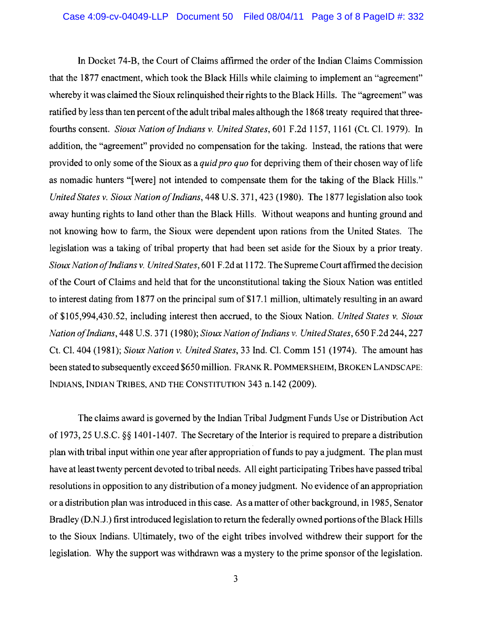In Docket 74-B, the Court of Claims affinned the order of the Indian Claims Commission that the 1877 enactment, which took the Black Hills while claiming to implement an "agreement" whereby it was claimed the Sioux relinquished their rights to the Black Hills. The "agreement" was ratified by less than ten percent of the adult tribal males although the 1868 treaty required that threefourths consent. *Sioux Nation ofIndians* v. *United States,* 601 F.2d 1157, 1161 (Ct. Cl. 1979). In addition, the "agreement" provided no compensation for the taking. Instead, the rations that were provided to only some of the Sioux as a *quid pro quo* for depriving them of their chosen way of life as nomadic hunters "[were] not intended to compensate them for the taking of the Black Hills." *United States* v. *Sioux Nation ofIndians,* 448 U.S. 371,423 (1980). The 1877 legislation also took away hunting rights to land other than the Black Hills. Without weapons and hunting ground and not knowing how to fann, the Sioux were dependent upon rations from the United States. The legislation was a taking of tribal property that had been set aside for the Sioux by a prior treaty. *Sioux Nation ofIndians* v. *United States,* 601 F .2d at 1172. The Supreme Court affinned the decision of the Court of Claims and held that for the unconstitutional taking the Sioux Nation was entitled to interest dating from 1877 on the principal sum of \$17.1 million, ultimately resulting in an award of \$105,994,430.52, including interest then accrued, to the Sioux Nation. *United States* v. *Sioux Nation ofIndians,* 448 U.S. 371 (1980); *Sioux Nation ofIndians* v. *United States,* 650 F.2d 244, 227 Ct. Cl. 404 (1981); *Sioux Nation* v. *United States,* 33 Ind. Cl. Comm 151 (1974). The amount has been stated to subsequently exceed \$650 million. FRANK R. POMMERSHEIM, BROKEN LANDSCAPE: INDIANS, INDIAN TRIBES, AND THE CONSTITUTION 343 n.142 (2009),

The claims award is governed by the Indian Tribal Judgment Funds Use or Distribution Act of 1973, 25 U.S.C. §§ 1401-1407. The Secretary of the Interior is required to prepare a distribution plan with tribal input within one year after appropriation of funds to pay a judgment. The plan must have at least twenty percent devoted to tribal needs. All eight participating Tribes have passed tribal resolutions in opposition to any distribution ofa money judgment. No evidence of an appropriation or a distribution plan was introduced in this case. As a matter ofother background, in 1985, Senator Bradley (D.N.J.) first introduced legislation to return the federally owned portions ofthe Black Hills to the Sioux Indians. Ultimately, two of the eight tribes involved withdrew their support for the legislation. Why the support was withdrawn was a mystery to the prime sponsor of the legislation.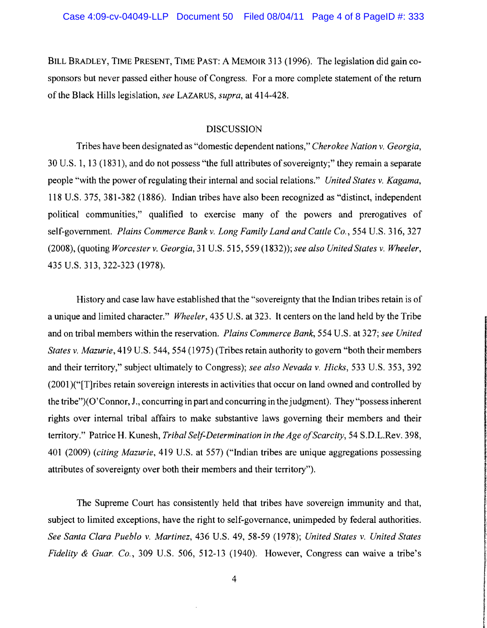BILL BRADLEY, TIME PRESENT, TIME PAST: A MEMOIR 313 (1996). The legislation did gain cosponsors but never passed either house of Congress. For a more complete statement of the return ofthe Black Hills legislation, *see* LAZARUS, *supra,* at 414-428.

### DISCUSSION

Tribes have been designated as "domestic dependent nations," *Cherokee Nation* v. *Georgia,*  30 U.S. 1, 13 (1831), and do not possess "the full attributes of sovereignty;" they remain a separate people "with the power ofregulating their internal and social relations." *United States* v. *Kagama,*  118 U.S. 375, 381-382 (1886). Indian tribes have also been recognized as "distinct, independent political communities," qualified to exercise many of the powers and prerogatives of self-government. *Plains Commerce Bank v. Long Family Land and Cattle Co.*, 554 U.S. 316, 327 (2008), (quoting *Worcester* v. *Georgia,* 31 U.S. 515,559 (1832»; *see also United States* v. *Wheeler,*  435 U.S. 313,322-323 (1978).

History and case law have established that the "sovereignty that the Indian tribes retain is of a unique and limited character." *Wheeler,* 435 U.S. at 323. It centers on the land held by the Tribe and on tribal members within the reservation. *Plains Commerce Bank,* 554 U.S. at 327; *see United States* v. *Mazurie,* 419 U.S. 544, 554 (1975) (Tribes retain authority to govern "both their members and their territory," subject ultimately to Congress); *see also Nevada* v. *Hicks,* 533 U.S. 353, 392 (2001 )("[T]ribes retain sovereign interests in activities that occur on land owned and controlled by the tribe")( 0'Connor, J., concurring in part and concurring in the judgment). They "possess inherent rights over internal tribal affairs to make substantive laws governing their members and their territory." Patrice H. Kunesh, *Tribal Self-Determination in the Age a/Scarcity,* 54 S.D.L.Rev. 398, 401 (2009) *(citing Mazurie,* 419 U.S. at 557) ("Indian tribes are unique aggregations possessing attributes of sovereignty over both their members and their territory").

The Supreme Court has consistently held that tribes have sovereign immunity and that, subject to limited exceptions, have the right to self-governance, unimpeded by federal authorities. *See Santa Clara Pueblo* v. *Martinez,* 436 U.S. 49, 58-59 (1978); *United States* v. *United States Fidelity & Guar. Co.*, 309 U.S. 506, 512-13 (1940). However, Congress can waive a tribe's

acrosado están independente a considerada cinema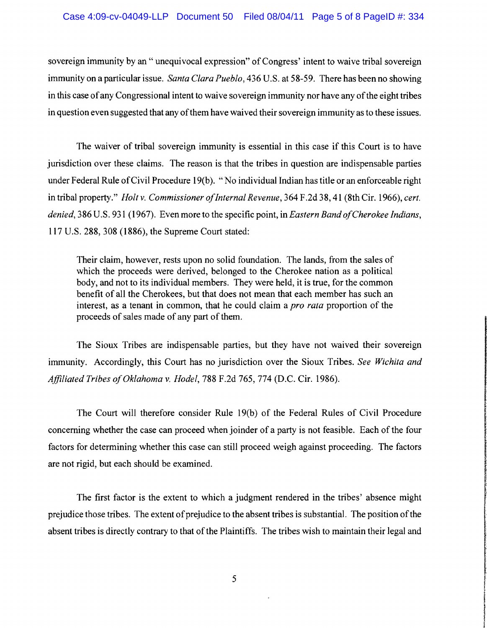sovereign immunity by an "unequivocal expression" of Congress' intent to waive tribal sovereign immunity on a particular issue. *Santa Clara Pueblo,* 436 U.S. at 58-59. There has been no showing in this case of any Congressional intent to waive sovereign immunity nor have any of the eight tribes in question even suggested that any of them have waived their sovereign immunity as to these issues.

The waiver of tribal sovereign immunity is essential in this case if this Court is to have jurisdiction over these claims. The reason is that the tribes in question are indispensable parties under Federal Rule ofCivil Procedure 19(b). "No individual Indian has title or an enforceable right in tribal property." *Holt v. Commissioner of Internal Revenue*,  $364$  F.2d  $38$ , 41 (8th Cir. 1966), *cert. denied,* 386 U.S. 931 (1967). Even more to the specific point, in *Eastern Band ofCherokee Indians,*  117 U.S. 288, 308 (1886), the Supreme Court stated:

Their claim, however, rests upon no solid foundation. The lands, from the sales of which the proceeds were derived, belonged to the Cherokee nation as a political body, and not to its individual members. They were held, it is true, for the common benefit of all the Cherokees, but that does not mean that each member has such an interest, as a tenant in common, that he could claim a *pro rata* proportion of the proceeds of sales made of any part of them.

The Sioux Tribes are indispensable parties, but they have not waived their sovereign immunity. Accordingly, this Court has no jurisdiction over the Sioux Tribes. *See Wichita and Affiliated Tribes ofOklahoma* v. *Hodel,* 788 F.2d 765, 774 (D.C. Cir. 1986).

The Court will therefore consider Rule 19(b) of the Federal Rules of Civil Procedure concerning whether the case can proceed when joinder of a party is not feasible. Each of the four factors for determining whether this case can still proceed weigh against proceeding. The factors are not rigid, but each should be examined.

The first factor is the extent to which a judgment rendered in the tribes' absence might prejudice those tribes. The extent of prejudice to the absent tribes is substantial. The position of the absent tribes is directly contrary to that of the Plaintiffs. The tribes wish to maintain their legal and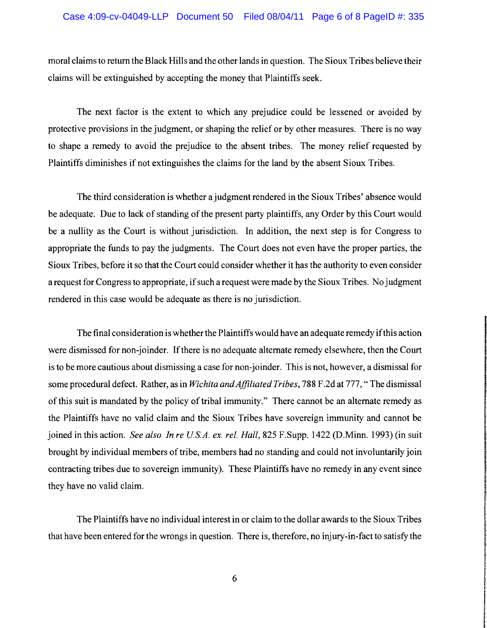moral claims to return the Black Hills and the other lands in question. The Sioux Tribes believe their claims will be extinguished by accepting the money that Plaintiffs seek.

The next factor is the extent to which any prejudice could be lessened or avoided by protective provisions in the judgment, or shaping the relief or by other measures. There is no way to shape a remedy to avoid the prejudice to the absent tribes. The money relief requested by Plaintiffs diminishes if not extinguishes the claims for the land by the absent Sioux Tribes.

The third consideration is whether a judgment rendered in the Sioux Tribes' absence would be adequate. Due to lack of standing of the present party plaintiffs, any Order by this Court would be a nullity as the Court is without jurisdiction. In addition, the next step is for Congress to appropriate the funds to pay the judgments. The Court does not even have the proper parties, the Sioux Tribes, before it so that the Court could consider whether it has the authority to even consider a request for Congress to appropriate, if such a request were made by the Sioux Tribes. No judgment rendered in this case would be adequate as there is no jurisdiction.

The final consideration is whether the Plaintiffs would have an adequate remedy ifthis action were dismissed for non-joinder. If there is no adequate alternate remedy elsewhere, then the Court is to be more cautious about dismissing a case for non-joinder. This is not, however, a dismissal for some procedural defect. Rather, as in *Wichita and Affiliated Tribes*, 788 F.2d at 777, "The dismissal of this suit is mandated by the policy of tribal immunity." There cannot be an alternate remedy as the Plaintiffs have no valid claim and the Sioux Tribes have sovereign immunity and cannot be joined in this action. *See also In re US.A. ex. rei. Hall,* 825 F.Supp. 1422 (D.Minn. 1993) (in suit brought by individual members of tribe, members had no standing and could not involuntarily join contracting tribes due to sovereign immunity). These Plaintiffs have no remedy in any event since they have no valid claim.

The Plaintiffs have no individual interest in or claim to the dollar awards to the Sioux Tribes that have been entered for the wrongs in question. There is, therefore, no injury-in-fact to satisfy the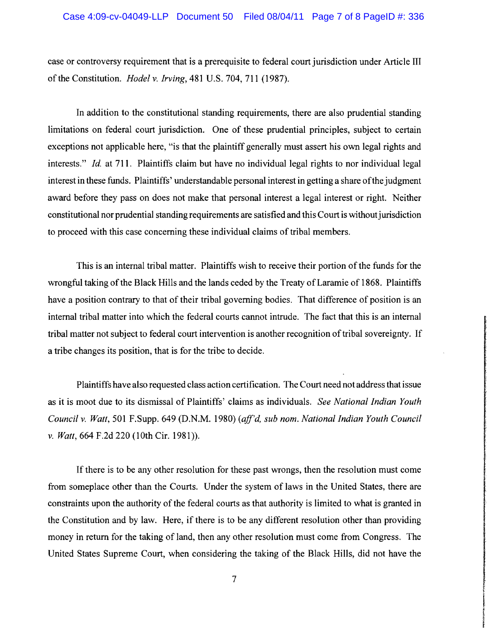case or controversy requirement that is a prerequisite to federal court jurisdiction under Article III ofthe Constitution. *Hodel* v. *Irving,* 481 U.S. 704, 711 (1987).

In addition to the constitutional standing requirements, there are also prudential standing limitations on federal court jurisdiction. One of these prudential principles, subject to certain exceptions not applicable here, "is that the plaintiff generally must assert his own legal rights and interests." *Id.* at 711. Plaintiffs claim but have no individual legal rights to nor individual legal interest in these funds. Plaintiffs' understandable personal interest in getting a share ofthe judgment award before they pass on does not make that personal interest a legal interest or right. Neither constitutional nor prudential standing requirements are satisfied and this Court is without jurisdiction to proceed with this case concerning these individual claims of tribal members.

This is an internal tribal matter. Plaintiffs wish to receive their portion of the funds for the wrongful taking of the Black Hills and the lands ceded by the Treaty of Laramie of 1868. Plaintiffs have a position contrary to that of their tribal governing bodies. That difference of position is an internal tribal matter into which the federal courts cannot intrude. The fact that this is an internal tribal matter not subject to federal court intervention is another recognition oftribal sovereignty. If a tribe changes its position, that is for the tribe to decide.

Plaintiffs have also requested class action certification. The Court need not address that issue as it is moot due to its dismissal of Plaintiffs' claims as individuals. *See National Indian Youth Council* v. *Watt,* 501 F.Supp. 649 (D.N.M. 1980) *(aff'd, sub nom. National Indian Youth Council*  v. *Watt,* 664 F.2d 220 (10th Cir. 1981 )).

If there is to be any other resolution for these past wrongs, then the resolution must come from someplace other than the Courts. Under the system of laws in the United States, there are constraints upon the authority of the federal courts as that authority is limited to what is granted in the Constitution and by law. Here, if there is to be any different resolution other than providing money in return for the taking of land, then any other resolution must come from Congress. The United States Supreme Court, when considering the taking of the Black Hills, did not have the